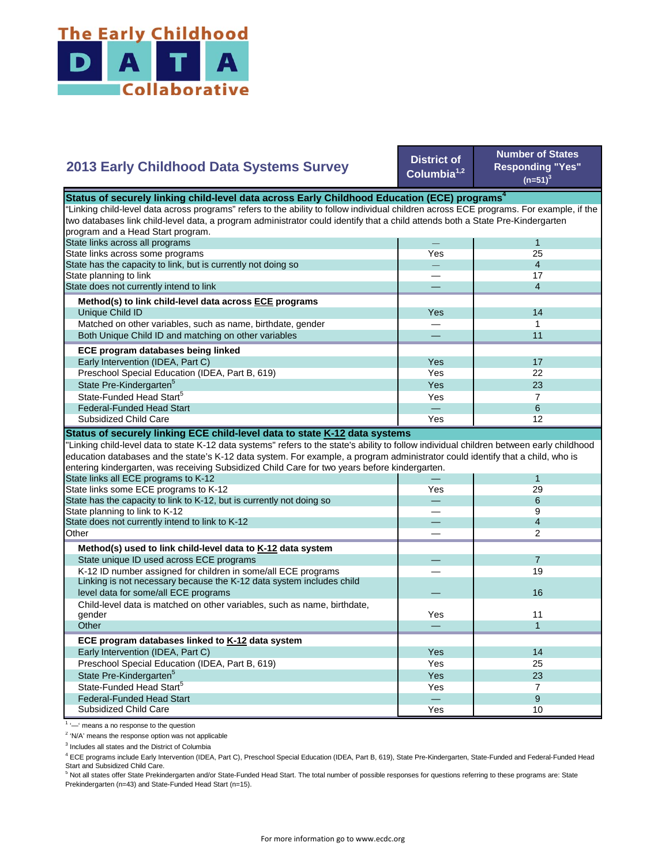

## **2013 Early Childhood Data Systems Survey**

**District of Columbia1,2**

**Number of States Responding "Yes"**   $(n=51)^3$ 

| Status of securely linking child-level data across Early Childhood Education (ECE) programs <sup>4</sup>                                  |     |                |  |
|-------------------------------------------------------------------------------------------------------------------------------------------|-----|----------------|--|
| "Linking child-level data across programs" refers to the ability to follow individual children across ECE programs. For example, if the   |     |                |  |
| two databases link child-level data, a program administrator could identify that a child attends both a State Pre-Kindergarten            |     |                |  |
| program and a Head Start program.                                                                                                         |     |                |  |
| State links across all programs                                                                                                           |     | $\mathbf{1}$   |  |
| State links across some programs                                                                                                          | Yes | 25             |  |
| State has the capacity to link, but is currently not doing so                                                                             |     | $\overline{4}$ |  |
| State planning to link                                                                                                                    |     | 17             |  |
| State does not currently intend to link                                                                                                   |     | $\overline{4}$ |  |
| Method(s) to link child-level data across ECE programs                                                                                    |     |                |  |
| Unique Child ID                                                                                                                           | Yes | 14             |  |
| Matched on other variables, such as name, birthdate, gender                                                                               |     | 1              |  |
| Both Unique Child ID and matching on other variables                                                                                      |     | 11             |  |
| ECE program databases being linked                                                                                                        |     |                |  |
| Early Intervention (IDEA, Part C)                                                                                                         | Yes | 17             |  |
| Preschool Special Education (IDEA, Part B, 619)                                                                                           | Yes | 22             |  |
| State Pre-Kindergarten <sup>5</sup>                                                                                                       | Yes | 23             |  |
| State-Funded Head Start <sup>5</sup>                                                                                                      | Yes | $\overline{7}$ |  |
| <b>Federal-Funded Head Start</b>                                                                                                          |     | 6              |  |
| Subsidized Child Care                                                                                                                     | Yes | 12             |  |
| Status of securely linking ECE child-level data to state K-12 data systems                                                                |     |                |  |
| "Linking child-level data to state K-12 data systems" refers to the state's ability to follow individual children between early childhood |     |                |  |
| education databases and the state's K-12 data system. For example, a program administrator could identify that a child, who is            |     |                |  |
| entering kindergarten, was receiving Subsidized Child Care for two years before kindergarten.                                             |     |                |  |
| State links all ECE programs to K-12                                                                                                      |     | $\mathbf{1}$   |  |
| State links some ECE programs to K-12                                                                                                     | Yes | 29             |  |
| State has the capacity to link to K-12, but is currently not doing so                                                                     |     | 6              |  |
| State planning to link to K-12                                                                                                            |     | 9              |  |
| State does not currently intend to link to K-12                                                                                           |     | $\overline{4}$ |  |
| Other                                                                                                                                     |     | 2              |  |
| Method(s) used to link child-level data to K-12 data system                                                                               |     |                |  |
| State unique ID used across ECE programs                                                                                                  |     | $\overline{7}$ |  |
| K-12 ID number assigned for children in some/all ECE programs                                                                             |     | 19             |  |
| Linking is not necessary because the K-12 data system includes child                                                                      |     |                |  |
| level data for some/all ECE programs                                                                                                      |     | 16             |  |
| Child-level data is matched on other variables, such as name, birthdate,                                                                  |     |                |  |
| gender                                                                                                                                    | Yes | 11             |  |
| Other                                                                                                                                     |     | $\mathbf{1}$   |  |
| ECE program databases linked to K-12 data system                                                                                          |     |                |  |
| Early Intervention (IDEA, Part C)                                                                                                         | Yes | 14             |  |
| Preschool Special Education (IDEA, Part B, 619)                                                                                           | Yes | 25             |  |
| State Pre-Kindergarten <sup>5</sup>                                                                                                       | Yes | 23             |  |
| State-Funded Head Start <sup>5</sup>                                                                                                      | Yes | $\overline{7}$ |  |
| <b>Federal-Funded Head Start</b>                                                                                                          |     | 9              |  |
| Subsidized Child Care                                                                                                                     | Yes | 10             |  |

<sup>1</sup> '-' means a no response to the question

<sup>2</sup> 'N/A' means the response option was not applicable

<sup>3</sup> Includes all states and the District of Columbia

<sup>4</sup> ECE programs include Early Intervention (IDEA, Part C), Preschool Special Education (IDEA, Part B, 619), State Pre-Kindergarten, State-Funded and Federal-Funded Head

Start and Subsidized Child Care.<br><sup>5</sup> Not all states offer State Prekindergarten and/or State-Funded Head Start. The total number of possible responses for questions referring to these programs are: State Prekindergarten (n=43) and State-Funded Head Start (n=15).